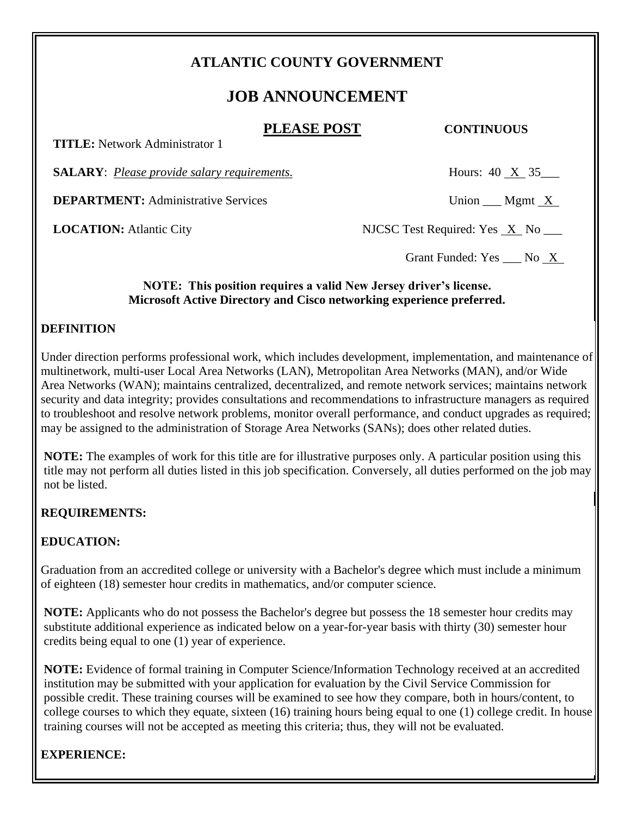# **ATLANTIC COUNTY GOVERNMENT**

# **JOB ANNOUNCEMENT**

#### **PLEASE POST CONTINUOUS**

 **TITLE:** Network Administrator 1

**SALARY**: *Please provide salary requirements.* Hours: 40 X 35

**DEPARTMENT:** Administrative Services Union \_\_\_ Mgmt X

**LOCATION:** Atlantic City NJCSC Test Required: Yes X No \_\_\_

Grant Funded: Yes No X

#### **NOTE: This position requires a valid New Jersey driver's license. Microsoft Active Directory and Cisco networking experience preferred.**

### **DEFINITION**

Under direction performs professional work, which includes development, implementation, and maintenance of multinetwork, multi-user Local Area Networks (LAN), Metropolitan Area Networks (MAN), and/or Wide Area Networks (WAN); maintains centralized, decentralized, and remote network services; maintains network security and data integrity; provides consultations and recommendations to infrastructure managers as required to troubleshoot and resolve network problems, monitor overall performance, and conduct upgrades as required; may be assigned to the administration of Storage Area Networks (SANs); does other related duties.

**NOTE:** The examples of work for this title are for illustrative purposes only. A particular position using this title may not perform all duties listed in this job specification. Conversely, all duties performed on the job may not be listed.

### **REQUIREMENTS:**

# **EDUCATION:**

Graduation from an accredited college or university with a Bachelor's degree which must include a minimum of eighteen (18) semester hour credits in mathematics, and/or computer science.

**NOTE:** Applicants who do not possess the Bachelor's degree but possess the 18 semester hour credits may substitute additional experience as indicated below on a year-for-year basis with thirty (30) semester hour credits being equal to one (1) year of experience.

**NOTE:** Evidence of formal training in Computer Science/Information Technology received at an accredited institution may be submitted with your application for evaluation by the Civil Service Commission for possible credit. These training courses will be examined to see how they compare, both in hours/content, to college courses to which they equate, sixteen (16) training hours being equal to one (1) college credit. In house training courses will not be accepted as meeting this criteria; thus, they will not be evaluated.

# **EXPERIENCE:**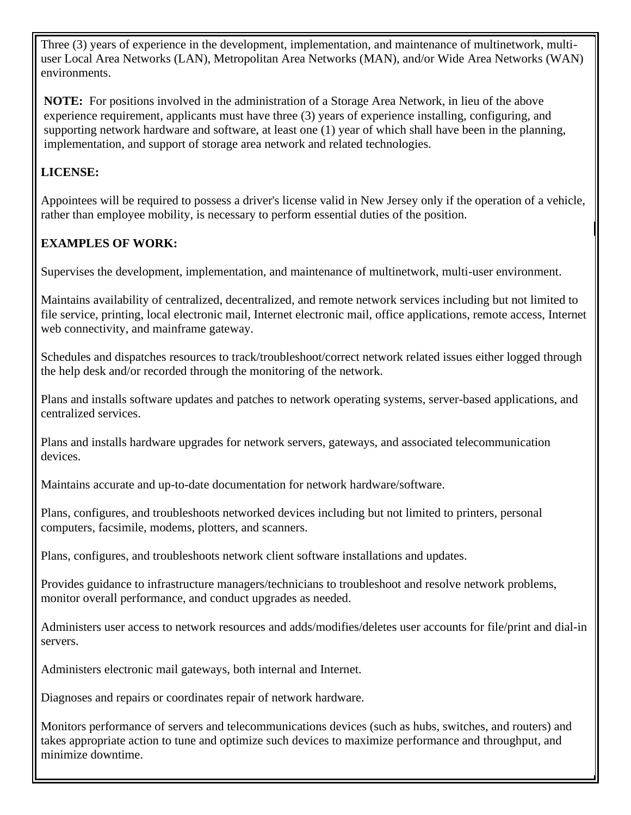Three (3) years of experience in the development, implementation, and maintenance of multinetwork, multiuser Local Area Networks (LAN), Metropolitan Area Networks (MAN), and/or Wide Area Networks (WAN) environments.

**NOTE:** For positions involved in the administration of a Storage Area Network, in lieu of the above experience requirement, applicants must have three (3) years of experience installing, configuring, and supporting network hardware and software, at least one (1) year of which shall have been in the planning, implementation, and support of storage area network and related technologies.

# **LICENSE:**

Appointees will be required to possess a driver's license valid in New Jersey only if the operation of a vehicle, rather than employee mobility, is necessary to perform essential duties of the position.

# **EXAMPLES OF WORK:**

Supervises the development, implementation, and maintenance of multinetwork, multi-user environment.

Maintains availability of centralized, decentralized, and remote network services including but not limited to file service, printing, local electronic mail, Internet electronic mail, office applications, remote access, Internet web connectivity, and mainframe gateway.

Schedules and dispatches resources to track/troubleshoot/correct network related issues either logged through the help desk and/or recorded through the monitoring of the network.

Plans and installs software updates and patches to network operating systems, server-based applications, and centralized services.

Plans and installs hardware upgrades for network servers, gateways, and associated telecommunication devices.

Maintains accurate and up-to-date documentation for network hardware/software.

Plans, configures, and troubleshoots networked devices including but not limited to printers, personal computers, facsimile, modems, plotters, and scanners.

Plans, configures, and troubleshoots network client software installations and updates.

Provides guidance to infrastructure managers/technicians to troubleshoot and resolve network problems, monitor overall performance, and conduct upgrades as needed.

Administers user access to network resources and adds/modifies/deletes user accounts for file/print and dial-in servers.

Administers electronic mail gateways, both internal and Internet.

Diagnoses and repairs or coordinates repair of network hardware.

Monitors performance of servers and telecommunications devices (such as hubs, switches, and routers) and takes appropriate action to tune and optimize such devices to maximize performance and throughput, and minimize downtime.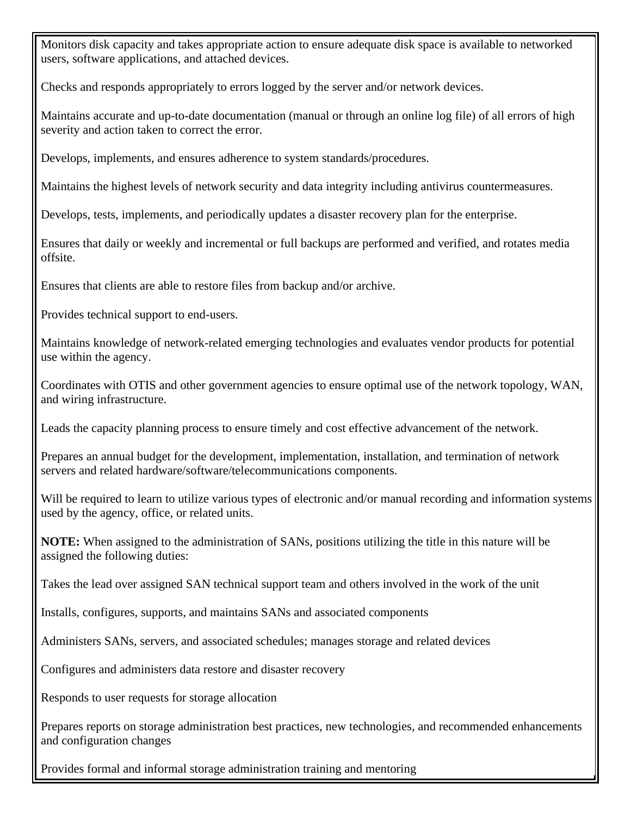Monitors disk capacity and takes appropriate action to ensure adequate disk space is available to networked users, software applications, and attached devices.

Checks and responds appropriately to errors logged by the server and/or network devices.

Maintains accurate and up-to-date documentation (manual or through an online log file) of all errors of high severity and action taken to correct the error.

Develops, implements, and ensures adherence to system standards/procedures.

Maintains the highest levels of network security and data integrity including antivirus countermeasures.

Develops, tests, implements, and periodically updates a disaster recovery plan for the enterprise.

Ensures that daily or weekly and incremental or full backups are performed and verified, and rotates media offsite.

Ensures that clients are able to restore files from backup and/or archive.

Provides technical support to end-users.

Maintains knowledge of network-related emerging technologies and evaluates vendor products for potential use within the agency.

Coordinates with OTIS and other government agencies to ensure optimal use of the network topology, WAN, and wiring infrastructure.

Leads the capacity planning process to ensure timely and cost effective advancement of the network.

Prepares an annual budget for the development, implementation, installation, and termination of network servers and related hardware/software/telecommunications components.

Will be required to learn to utilize various types of electronic and/or manual recording and information systems used by the agency, office, or related units.

**NOTE:** When assigned to the administration of SANs, positions utilizing the title in this nature will be assigned the following duties:

Takes the lead over assigned SAN technical support team and others involved in the work of the unit

Installs, configures, supports, and maintains SANs and associated components

Administers SANs, servers, and associated schedules; manages storage and related devices

Configures and administers data restore and disaster recovery

Responds to user requests for storage allocation

Prepares reports on storage administration best practices, new technologies, and recommended enhancements and configuration changes

Provides formal and informal storage administration training and mentoring